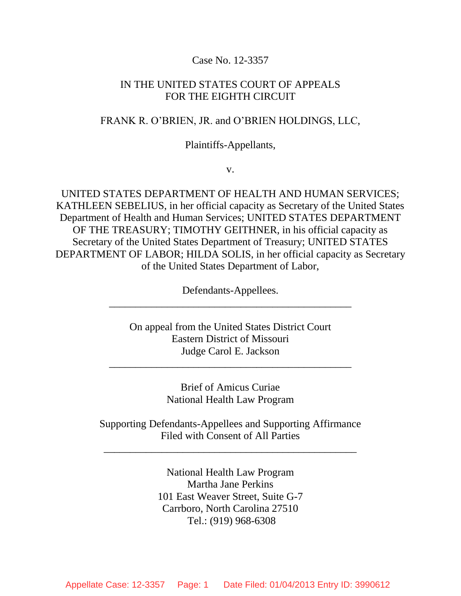## Case No. 12-3357

## IN THE UNITED STATES COURT OF APPEALS FOR THE EIGHTH CIRCUIT

### FRANK R. O'BRIEN, JR. and O'BRIEN HOLDINGS, LLC,

#### Plaintiffs-Appellants,

v.

UNITED STATES DEPARTMENT OF HEALTH AND HUMAN SERVICES; KATHLEEN SEBELIUS, in her official capacity as Secretary of the United States Department of Health and Human Services; UNITED STATES DEPARTMENT OF THE TREASURY; TIMOTHY GEITHNER, in his official capacity as Secretary of the United States Department of Treasury; UNITED STATES DEPARTMENT OF LABOR; HILDA SOLIS, in her official capacity as Secretary of the United States Department of Labor,

> Defendants-Appellees. \_\_\_\_\_\_\_\_\_\_\_\_\_\_\_\_\_\_\_\_\_\_\_\_\_\_\_\_\_\_\_\_\_\_\_\_\_\_\_\_\_\_\_\_\_\_

On appeal from the United States District Court Eastern District of Missouri Judge Carol E. Jackson

\_\_\_\_\_\_\_\_\_\_\_\_\_\_\_\_\_\_\_\_\_\_\_\_\_\_\_\_\_\_\_\_\_\_\_\_\_\_\_\_\_\_\_\_\_\_

Brief of Amicus Curiae National Health Law Program

Supporting Defendants-Appellees and Supporting Affirmance Filed with Consent of All Parties

\_\_\_\_\_\_\_\_\_\_\_\_\_\_\_\_\_\_\_\_\_\_\_\_\_\_\_\_\_\_\_\_\_\_\_\_\_\_\_\_\_\_\_\_\_\_\_\_

National Health Law Program Martha Jane Perkins 101 East Weaver Street, Suite G-7 Carrboro, North Carolina 27510 Tel.: (919) 968-6308

Appellate Case: 12-3357 Page: 1 Date Filed: 01/04/2013 Entry ID: 3990612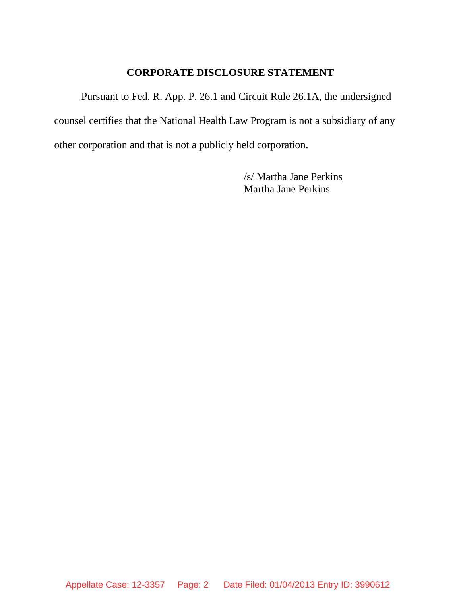## **CORPORATE DISCLOSURE STATEMENT**

Pursuant to Fed. R. App. P. 26.1 and Circuit Rule 26.1A, the undersigned counsel certifies that the National Health Law Program is not a subsidiary of any other corporation and that is not a publicly held corporation.

> /s/ Martha Jane Perkins Martha Jane Perkins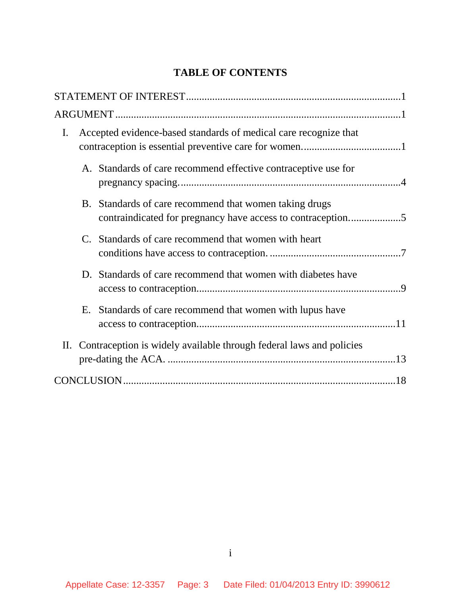# **TABLE OF CONTENTS**

| I. | Accepted evidence-based standards of medical care recognize that |                                                                                                                       |  |
|----|------------------------------------------------------------------|-----------------------------------------------------------------------------------------------------------------------|--|
|    |                                                                  | A. Standards of care recommend effective contraceptive use for                                                        |  |
|    |                                                                  | B. Standards of care recommend that women taking drugs<br>contraindicated for pregnancy have access to contraception5 |  |
|    |                                                                  | C. Standards of care recommend that women with heart                                                                  |  |
|    |                                                                  | D. Standards of care recommend that women with diabetes have                                                          |  |
|    |                                                                  | E. Standards of care recommend that women with lupus have                                                             |  |
|    |                                                                  | II. Contraception is widely available through federal laws and policies                                               |  |
|    |                                                                  |                                                                                                                       |  |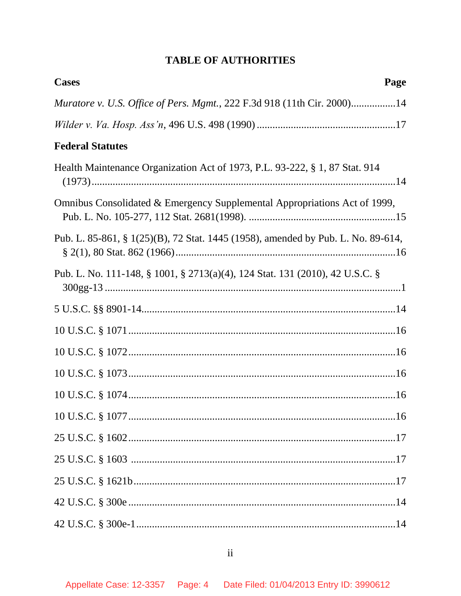# **TABLE OF AUTHORITIES**

| <b>Cases</b><br>Page                                                             |
|----------------------------------------------------------------------------------|
| Muratore v. U.S. Office of Pers. Mgmt., 222 F.3d 918 (11th Cir. 2000)14          |
|                                                                                  |
| <b>Federal Statutes</b>                                                          |
| Health Maintenance Organization Act of 1973, P.L. 93-222, § 1, 87 Stat. 914      |
| Omnibus Consolidated & Emergency Supplemental Appropriations Act of 1999,        |
| Pub. L. 85-861, § 1(25)(B), 72 Stat. 1445 (1958), amended by Pub. L. No. 89-614, |
| Pub. L. No. 111-148, § 1001, § 2713(a)(4), 124 Stat. 131 (2010), 42 U.S.C. §     |
|                                                                                  |
|                                                                                  |
|                                                                                  |
|                                                                                  |
|                                                                                  |
|                                                                                  |
|                                                                                  |
|                                                                                  |
|                                                                                  |
|                                                                                  |
|                                                                                  |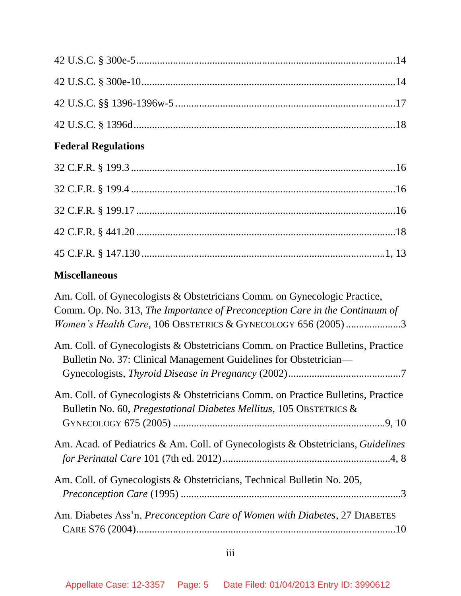# **Federal Regulations**

# **Miscellaneous**

| Am. Coll. of Gynecologists & Obstetricians Comm. on Gynecologic Practice,                                                                               |
|---------------------------------------------------------------------------------------------------------------------------------------------------------|
| Comm. Op. No. 313, The Importance of Preconception Care in the Continuum of                                                                             |
| Women's Health Care, 106 OBSTETRICS & GYNECOLOGY 656 (2005)3                                                                                            |
| Am. Coll. of Gynecologists & Obstetricians Comm. on Practice Bulletins, Practice                                                                        |
| Bulletin No. 37: Clinical Management Guidelines for Obstetrician—                                                                                       |
|                                                                                                                                                         |
| Am. Coll. of Gynecologists & Obstetricians Comm. on Practice Bulletins, Practice<br>Bulletin No. 60, Pregestational Diabetes Mellitus, 105 OBSTETRICS & |
|                                                                                                                                                         |
| Am. Acad. of Pediatrics & Am. Coll. of Gynecologists & Obstetricians, Guidelines                                                                        |
|                                                                                                                                                         |
| Am. Coll. of Gynecologists & Obstetricians, Technical Bulletin No. 205,                                                                                 |
|                                                                                                                                                         |
| Am. Diabetes Ass'n, Preconception Care of Women with Diabetes, 27 DIABETES                                                                              |
|                                                                                                                                                         |
|                                                                                                                                                         |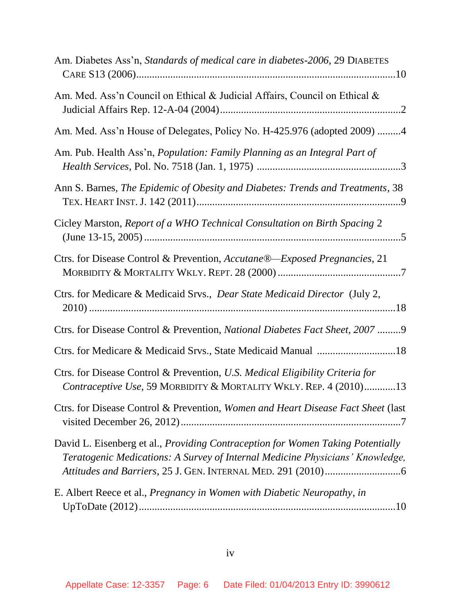| Am. Diabetes Ass'n, Standards of medical care in diabetes-2006, 29 DIABETES                                                                                             |
|-------------------------------------------------------------------------------------------------------------------------------------------------------------------------|
| Am. Med. Ass'n Council on Ethical & Judicial Affairs, Council on Ethical &                                                                                              |
| Am. Med. Ass'n House of Delegates, Policy No. H-425.976 (adopted 2009) 4                                                                                                |
| Am. Pub. Health Ass'n, Population: Family Planning as an Integral Part of                                                                                               |
| Ann S. Barnes, The Epidemic of Obesity and Diabetes: Trends and Treatments, 38                                                                                          |
| Cicley Marston, Report of a WHO Technical Consultation on Birth Spacing 2                                                                                               |
| Ctrs. for Disease Control & Prevention, Accutane®—Exposed Pregnancies, 21                                                                                               |
| Ctrs. for Medicare & Medicaid Srvs., Dear State Medicaid Director (July 2,                                                                                              |
| Ctrs. for Disease Control & Prevention, National Diabetes Fact Sheet, 2007 9                                                                                            |
| Ctrs. for Medicare & Medicaid Srvs., State Medicaid Manual 18                                                                                                           |
| Ctrs. for Disease Control & Prevention, U.S. Medical Eligibility Criteria for<br>Contraceptive Use, 59 MORBIDITY & MORTALITY WKLY. REP. 4 (2010)13                      |
| Ctrs. for Disease Control & Prevention, Women and Heart Disease Fact Sheet (last                                                                                        |
| David L. Eisenberg et al., <i>Providing Contraception for Women Taking Potentially</i><br>Teratogenic Medications: A Survey of Internal Medicine Physicians' Knowledge, |
| E. Albert Reece et al., <i>Pregnancy in Women with Diabetic Neuropathy</i> , <i>in</i>                                                                                  |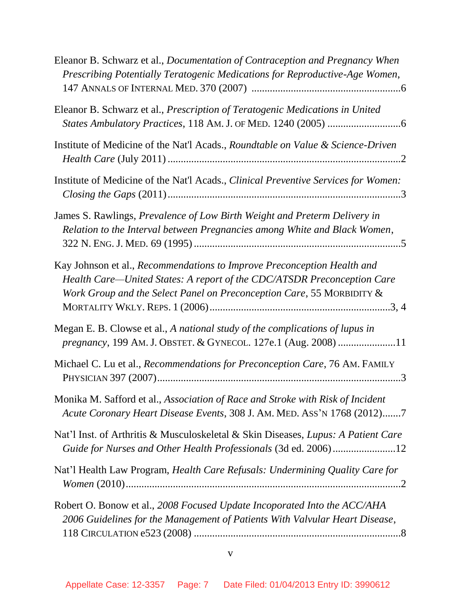| Eleanor B. Schwarz et al., <i>Documentation of Contraception and Pregnancy When</i><br>Prescribing Potentially Teratogenic Medications for Reproductive-Age Women,                                                          |
|-----------------------------------------------------------------------------------------------------------------------------------------------------------------------------------------------------------------------------|
| Eleanor B. Schwarz et al., Prescription of Teratogenic Medications in United                                                                                                                                                |
| Institute of Medicine of the Nat'l Acads., Roundtable on Value & Science-Driven                                                                                                                                             |
| Institute of Medicine of the Nat'l Acads., Clinical Preventive Services for Women:                                                                                                                                          |
| James S. Rawlings, Prevalence of Low Birth Weight and Preterm Delivery in<br>Relation to the Interval between Pregnancies among White and Black Women,                                                                      |
| Kay Johnson et al., Recommendations to Improve Preconception Health and<br>Health Care-United States: A report of the CDC/ATSDR Preconception Care<br>Work Group and the Select Panel on Preconception Care, 55 MORBIDITY & |
| Megan E. B. Clowse et al., A national study of the complications of lupus in<br>pregnancy, 199 AM. J. OBSTET. & GYNECOL. 127e.1 (Aug. 2008) 11                                                                              |
| Michael C. Lu et al., Recommendations for Preconception Care, 76 AM. FAMILY                                                                                                                                                 |
| Monika M. Safford et al., Association of Race and Stroke with Risk of Incident<br>Acute Coronary Heart Disease Events, 308 J. AM. MED. ASS'N 1768 (2012)7                                                                   |
| Nat'l Inst. of Arthritis & Musculoskeletal & Skin Diseases, Lupus: A Patient Care<br>Guide for Nurses and Other Health Professionals (3d ed. 2006)12                                                                        |
| Nat'l Health Law Program, Health Care Refusals: Undermining Quality Care for                                                                                                                                                |
| Robert O. Bonow et al., 2008 Focused Update Incoporated Into the ACC/AHA<br>2006 Guidelines for the Management of Patients With Valvular Heart Disease,                                                                     |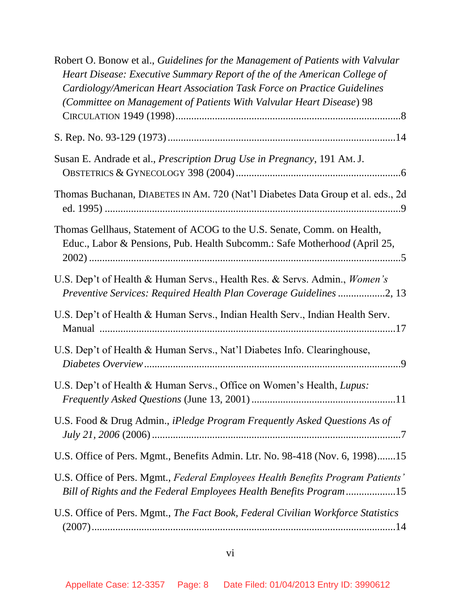| Robert O. Bonow et al., Guidelines for the Management of Patients with Valvular<br>Heart Disease: Executive Summary Report of the of the American College of<br>Cardiology/American Heart Association Task Force on Practice Guidelines<br>(Committee on Management of Patients With Valvular Heart Disease) 98 |
|-----------------------------------------------------------------------------------------------------------------------------------------------------------------------------------------------------------------------------------------------------------------------------------------------------------------|
|                                                                                                                                                                                                                                                                                                                 |
| Susan E. Andrade et al., <i>Prescription Drug Use in Pregnancy</i> , 191 Am. J.                                                                                                                                                                                                                                 |
| Thomas Buchanan, DIABETES IN AM. 720 (Nat'l Diabetes Data Group et al. eds., 2d                                                                                                                                                                                                                                 |
| Thomas Gellhaus, Statement of ACOG to the U.S. Senate, Comm. on Health,<br>Educ., Labor & Pensions, Pub. Health Subcomm.: Safe Motherhood (April 25,                                                                                                                                                            |
| U.S. Dep't of Health & Human Servs., Health Res. & Servs. Admin., Women's<br>Preventive Services: Required Health Plan Coverage Guidelines 2, 13                                                                                                                                                                |
| U.S. Dep't of Health & Human Servs., Indian Health Serv., Indian Health Serv.                                                                                                                                                                                                                                   |
| U.S. Dep't of Health & Human Servs., Nat'l Diabetes Info. Clearinghouse,                                                                                                                                                                                                                                        |
| U.S. Dep't of Health & Human Servs., Office on Women's Health, Lupus:                                                                                                                                                                                                                                           |
| U.S. Food & Drug Admin., iPledge Program Frequently Asked Questions As of                                                                                                                                                                                                                                       |
| U.S. Office of Pers. Mgmt., Benefits Admin. Ltr. No. 98-418 (Nov. 6, 1998)15                                                                                                                                                                                                                                    |
| U.S. Office of Pers. Mgmt., Federal Employees Health Benefits Program Patients'<br>Bill of Rights and the Federal Employees Health Benefits Program15                                                                                                                                                           |
| U.S. Office of Pers. Mgmt., The Fact Book, Federal Civilian Workforce Statistics                                                                                                                                                                                                                                |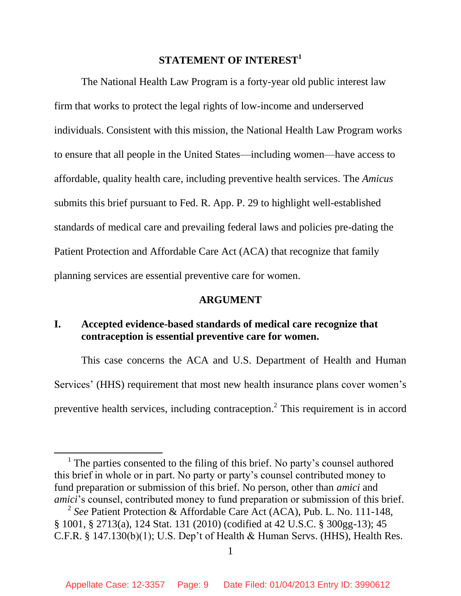# **STATEMENT OF INTEREST<sup>1</sup>**

<span id="page-8-0"></span>The National Health Law Program is a forty-year old public interest law firm that works to protect the legal rights of low-income and underserved individuals. Consistent with this mission, the National Health Law Program works to ensure that all people in the United States—including women—have access to affordable, quality health care, including preventive health services. The *Amicus* submits this brief pursuant to Fed. R. App. P. 29 to highlight well-established standards of medical care and prevailing federal laws and policies pre-dating the Patient Protection and Affordable Care Act (ACA) that recognize that family planning services are essential preventive care for women.

#### **ARGUMENT**

## <span id="page-8-2"></span><span id="page-8-1"></span>**I. Accepted evidence-based standards of medical care recognize that contraception is essential preventive care for women.**

This case concerns the ACA and U.S. Department of Health and Human Services' (HHS) requirement that most new health insurance plans cover women's preventive health services, including contraception.<sup>2</sup> This requirement is in accord

<sup>&</sup>lt;sup>1</sup> The parties consented to the filing of this brief. No party's counsel authored this brief in whole or in part. No party or party's counsel contributed money to fund preparation or submission of this brief. No person, other than *amici* and *amici*'s counsel, contributed money to fund preparation or submission of this brief.

<sup>2</sup> *See* Patient Protection & Affordable Care Act (ACA), Pub. L. No. 111-148, § 1001, § 2713(a), 124 Stat. 131 (2010) (codified at 42 U.S.C. § 300gg-13); 45 C.F.R. § 147.130(b)(1); U.S. Dep't of Health & Human Servs. (HHS), Health Res.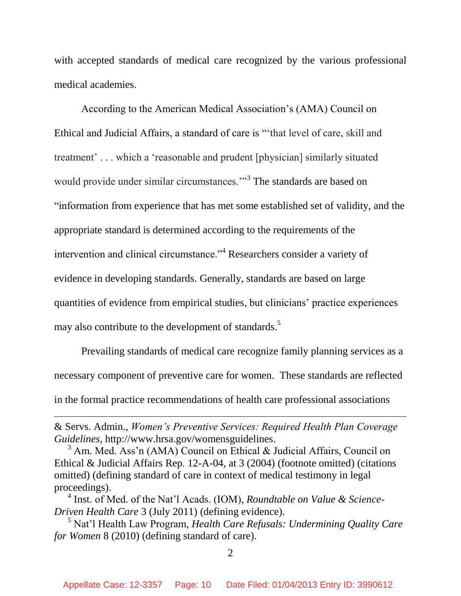with accepted standards of medical care recognized by the various professional medical academies.

According to the American Medical Association's (AMA) Council on Ethical and Judicial Affairs, a standard of care is "'that level of care, skill and treatment' . . . which a 'reasonable and prudent [physician] similarly situated would provide under similar circumstances."<sup>3</sup> The standards are based on "information from experience that has met some established set of validity, and the appropriate standard is determined according to the requirements of the intervention and clinical circumstance."<sup>4</sup> Researchers consider a variety of evidence in developing standards. Generally, standards are based on large quantities of evidence from empirical studies, but clinicians' practice experiences may also contribute to the development of standards.<sup>5</sup>

Prevailing standards of medical care recognize family planning services as a necessary component of preventive care for women. These standards are reflected in the formal practice recommendations of health care professional associations

& Servs. Admin., *Women's Preventive Services: Required Health Plan Coverage Guidelines*, http://www.hrsa.gov/womensguidelines.

 $\overline{a}$ 

 $3 \text{ Am}$ . Med. Ass'n (AMA) Council on Ethical & Judicial Affairs, Council on Ethical & Judicial Affairs Rep. 12-A-04, at 3 (2004) (footnote omitted) (citations omitted) (defining standard of care in context of medical testimony in legal proceedings).

4 Inst. of Med. of the Nat'l Acads. (IOM), *Roundtable on Value & Science-Driven Health Care* 3 (July 2011) (defining evidence).

<sup>5</sup> Nat'l Health Law Program, *Health Care Refusals: Undermining Quality Care for Women* 8 (2010) (defining standard of care).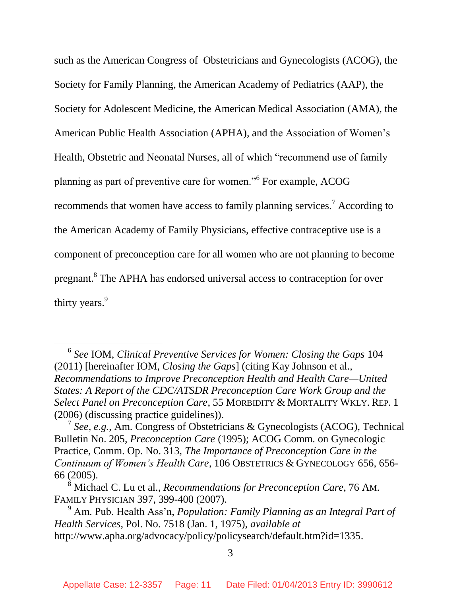such as the American Congress of Obstetricians and Gynecologists (ACOG), the Society for Family Planning, the American Academy of Pediatrics (AAP), the Society for Adolescent Medicine, the American Medical Association (AMA), the American Public Health Association (APHA), and the Association of Women's Health, Obstetric and Neonatal Nurses, all of which "recommend use of family planning as part of preventive care for women."<sup>6</sup> For example, ACOG recommends that women have access to family planning services.<sup>7</sup> According to the American Academy of Family Physicians, effective contraceptive use is a component of preconception care for all women who are not planning to become pregnant.<sup>8</sup> The APHA has endorsed universal access to contraception for over thirty years.<sup>9</sup>

<sup>6</sup> *See* IOM, *Clinical Preventive Services for Women: Closing the Gaps* 104 (2011) [hereinafter IOM, *Closing the Gaps*] (citing Kay Johnson et al., *Recommendations to Improve Preconception Health and Health Care—United States: A Report of the CDC/ATSDR Preconception Care Work Group and the Select Panel on Preconception Care*, 55 MORBIDITY & MORTALITY WKLY. REP. 1 (2006) (discussing practice guidelines)).

<sup>7</sup> *See*, *e.g.*, Am. Congress of Obstetricians & Gynecologists (ACOG), Technical Bulletin No. 205, *Preconception Care* (1995); ACOG Comm. on Gynecologic Practice, Comm. Op. No. 313, *The Importance of Preconception Care in the Continuum of Women's Health Care*, 106 OBSTETRICS & GYNECOLOGY 656, 656- 66 (2005).

<sup>8</sup> Michael C. Lu et al., *Recommendations for Preconception Care*, 76 AM. FAMILY PHYSICIAN 397, 399-400 (2007).

<sup>9</sup> Am. Pub. Health Ass'n, *Population: Family Planning as an Integral Part of Health Services*, Pol. No. 7518 (Jan. 1, 1975), *available at*  http://www.apha.org/advocacy/policy/policysearch/default.htm?id=1335.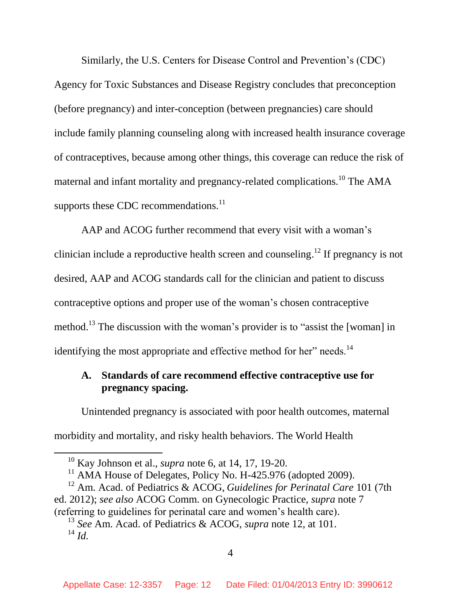Similarly, the U.S. Centers for Disease Control and Prevention's (CDC) Agency for Toxic Substances and Disease Registry concludes that preconception (before pregnancy) and inter-conception (between pregnancies) care should include family planning counseling along with increased health insurance coverage of contraceptives, because among other things, this coverage can reduce the risk of maternal and infant mortality and pregnancy-related complications.<sup>10</sup> The AMA supports these CDC recommendations.<sup>11</sup>

AAP and ACOG further recommend that every visit with a woman's clinician include a reproductive health screen and counseling.<sup>12</sup> If pregnancy is not desired, AAP and ACOG standards call for the clinician and patient to discuss contraceptive options and proper use of the woman's chosen contraceptive method.<sup>13</sup> The discussion with the woman's provider is to "assist the [woman] in identifying the most appropriate and effective method for her" needs.<sup>14</sup>

# <span id="page-11-0"></span>**A. Standards of care recommend effective contraceptive use for pregnancy spacing.**

Unintended pregnancy is associated with poor health outcomes, maternal morbidity and mortality, and risky health behaviors. The World Health

<sup>10</sup> Kay Johnson et al., *supra* note 6, at 14, 17, 19-20.

 $11$  AMA House of Delegates, Policy No. H-425.976 (adopted 2009).

<sup>12</sup> Am. Acad. of Pediatrics & ACOG, *Guidelines for Perinatal Care* 101 (7th ed. 2012); *see also* ACOG Comm. on Gynecologic Practice, *supra* note 7 (referring to guidelines for perinatal care and women's health care).

<sup>13</sup> *See* Am. Acad. of Pediatrics & ACOG, *supra* note 12, at 101. <sup>14</sup> *Id.*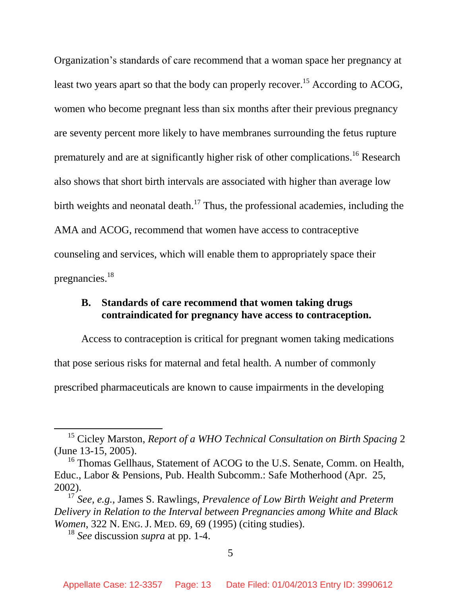Organization's standards of care recommend that a woman space her pregnancy at least two years apart so that the body can properly recover.<sup>15</sup> According to ACOG, women who become pregnant less than six months after their previous pregnancy are seventy percent more likely to have membranes surrounding the fetus rupture prematurely and are at significantly higher risk of other complications.<sup>16</sup> Research also shows that short birth intervals are associated with higher than average low birth weights and neonatal death.<sup>17</sup> Thus, the professional academies, including the AMA and ACOG, recommend that women have access to contraceptive counseling and services, which will enable them to appropriately space their pregnancies. 18

## <span id="page-12-0"></span>**B. Standards of care recommend that women taking drugs contraindicated for pregnancy have access to contraception.**

Access to contraception is critical for pregnant women taking medications that pose serious risks for maternal and fetal health. A number of commonly prescribed pharmaceuticals are known to cause impairments in the developing

<sup>15</sup> Cicley Marston, *Report of a WHO Technical Consultation on Birth Spacing* 2 (June 13-15, 2005).

<sup>&</sup>lt;sup>16</sup> Thomas Gellhaus, Statement of ACOG to the U.S. Senate, Comm. on Health, Educ., Labor & Pensions, Pub. Health Subcomm.: Safe Motherhood (Apr. 25, 2002).

<sup>17</sup> *See, e.g.*, James S. Rawlings, *Prevalence of Low Birth Weight and Preterm Delivery in Relation to the Interval between Pregnancies among White and Black Women*, 322 N. ENG. J. MED. 69, 69 (1995) (citing studies).

<sup>18</sup> *See* discussion *supra* at pp. 1-4.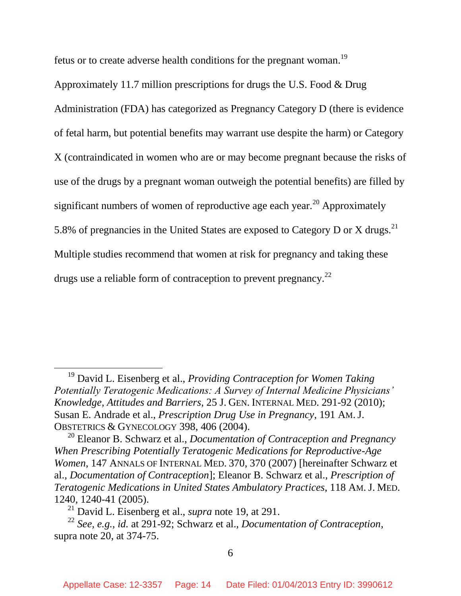fetus or to create adverse health conditions for the pregnant woman.<sup>19</sup>

Approximately 11.7 million prescriptions for drugs the U.S. Food & Drug Administration (FDA) has categorized as Pregnancy Category D (there is evidence of fetal harm, but potential benefits may warrant use despite the harm) or Category X (contraindicated in women who are or may become pregnant because the risks of use of the drugs by a pregnant woman outweigh the potential benefits) are filled by significant numbers of women of reproductive age each year.<sup>20</sup> Approximately 5.8% of pregnancies in the United States are exposed to Category D or X drugs.<sup>21</sup> Multiple studies recommend that women at risk for pregnancy and taking these drugs use a reliable form of contraception to prevent pregnancy.<sup>22</sup>

l

<sup>19</sup> David L. Eisenberg et al., *Providing Contraception for Women Taking Potentially Teratogenic Medications: A Survey of Internal Medicine Physicians' Knowledge, Attitudes and Barriers*, 25 J. GEN. INTERNAL MED. 291-92 (2010); Susan E. Andrade et al., *Prescription Drug Use in Pregnancy*, 191 AM.J. OBSTETRICS & GYNECOLOGY 398, 406 (2004).

<sup>20</sup> Eleanor B. Schwarz et al., *Documentation of Contraception and Pregnancy When Prescribing Potentially Teratogenic Medications for Reproductive-Age Women*, 147 ANNALS OF INTERNAL MED. 370, 370 (2007) [hereinafter Schwarz et al., *Documentation of Contraception*]; Eleanor B. Schwarz et al., *Prescription of Teratogenic Medications in United States Ambulatory Practices*, 118 AM.J. MED. 1240, 1240-41 (2005).

<sup>21</sup> David L. Eisenberg et al., *supra* note 19, at 291.

<sup>22</sup> *See, e.g.*, *id.* at 291-92; Schwarz et al., *Documentation of Contraception*, supra note 20, at 374-75.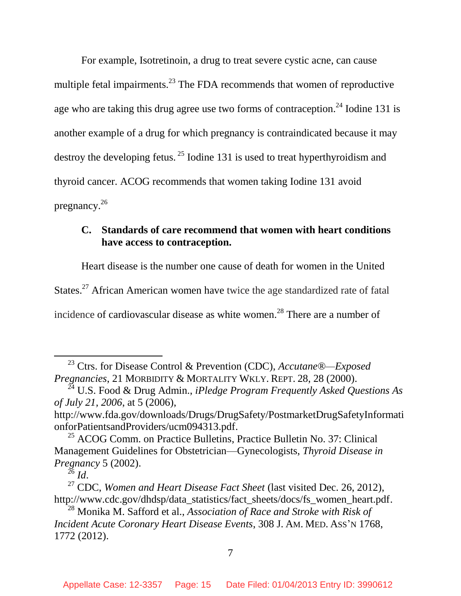For example, Isotretinoin, a drug to treat severe cystic acne, can cause multiple fetal impairments.<sup>23</sup> The FDA recommends that women of reproductive age who are taking this drug agree use two forms of contraception.<sup>24</sup> Iodine 131 is another example of a drug for which pregnancy is contraindicated because it may destroy the developing fetus. <sup>25</sup> Iodine 131 is used to treat hyperthyroidism and thyroid cancer. ACOG recommends that women taking Iodine 131 avoid pregnancy. 26

## <span id="page-14-0"></span>**C. Standards of care recommend that women with heart conditions have access to contraception.**

Heart disease is the number one cause of death for women in the United States.<sup>27</sup> African American women have twice the age standardized rate of fatal incidence of cardiovascular disease as white women.<sup>28</sup> There are a number of

 $^{26}$  *Id.* 

l

<sup>23</sup> Ctrs. for Disease Control & Prevention (CDC), *Accutane®—Exposed Pregnancies*, 21 MORBIDITY & MORTALITY WKLY. REPT. 28, 28 (2000).

<sup>24</sup> U.S. Food & Drug Admin., *iPledge Program Frequently Asked Questions As of July 21, 2006*, at 5 (2006),

http://www.fda.gov/downloads/Drugs/DrugSafety/PostmarketDrugSafetyInformati onforPatientsandProviders/ucm094313.pdf.

 $25$  ACOG Comm. on Practice Bulletins, Practice Bulletin No. 37: Clinical Management Guidelines for Obstetrician—Gynecologists, *Thyroid Disease in Pregnancy* 5 (2002).

<sup>27</sup> CDC, *Women and Heart Disease Fact Sheet* (last visited Dec. 26, 2012), http://www.cdc.gov/dhdsp/data\_statistics/fact\_sheets/docs/fs\_women\_heart.pdf.

<sup>28</sup> Monika M. Safford et al., *Association of Race and Stroke with Risk of Incident Acute Coronary Heart Disease Events*, 308 J. AM. MED. ASS'N 1768, 1772 (2012).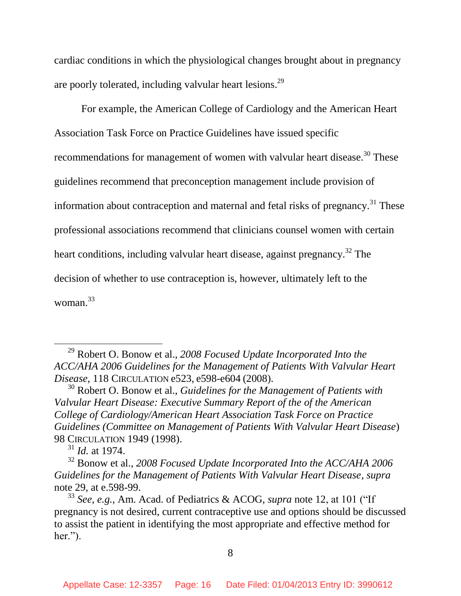cardiac conditions in which the physiological changes brought about in pregnancy are poorly tolerated, including valvular heart lesions.<sup>29</sup>

For example, the American College of Cardiology and the American Heart Association Task Force on Practice Guidelines have issued specific recommendations for management of women with valvular heart disease.<sup>30</sup> These guidelines recommend that preconception management include provision of information about contraception and maternal and fetal risks of pregnancy.<sup>31</sup> These professional associations recommend that clinicians counsel women with certain heart conditions, including valvular heart disease, against pregnancy.<sup>32</sup> The decision of whether to use contraception is, however, ultimately left to the woman. 33

<sup>29</sup> Robert O. Bonow et al., *2008 Focused Update Incorporated Into the ACC/AHA 2006 Guidelines for the Management of Patients With Valvular Heart Disease*, 118 CIRCULATION e523, e598-e604 (2008).

<sup>30</sup> Robert O. Bonow et al., *Guidelines for the Management of Patients with Valvular Heart Disease: Executive Summary Report of the of the American College of Cardiology/American Heart Association Task Force on Practice Guidelines (Committee on Management of Patients With Valvular Heart Disease*) 98 CIRCULATION 1949 (1998).

<sup>31</sup> *Id.* at 1974.

<sup>32</sup> Bonow et al., *2008 Focused Update Incorporated Into the ACC/AHA 2006 Guidelines for the Management of Patients With Valvular Heart Disease*, *supra*  note 29, at e.598-99.

<sup>33</sup> *See*, *e.g.*, Am. Acad. of Pediatrics & ACOG, *supra* note 12, at 101 ("If pregnancy is not desired, current contraceptive use and options should be discussed to assist the patient in identifying the most appropriate and effective method for her.").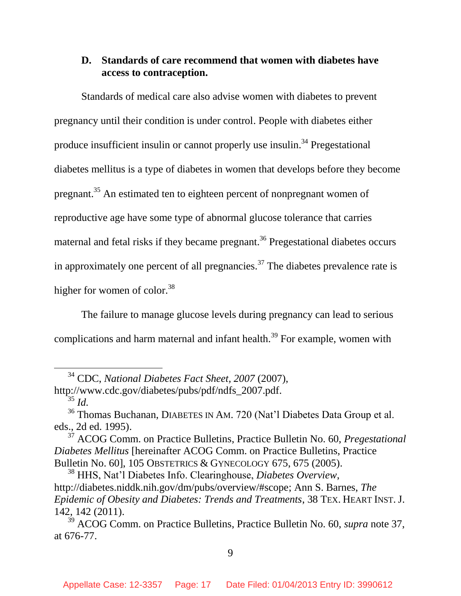## <span id="page-16-0"></span>**D. Standards of care recommend that women with diabetes have access to contraception.**

Standards of medical care also advise women with diabetes to prevent pregnancy until their condition is under control. People with diabetes either produce insufficient insulin or cannot properly use insulin.<sup>34</sup> Pregestational diabetes mellitus is a type of diabetes in women that develops before they become pregnant.<sup>35</sup> An estimated ten to eighteen percent of nonpregnant women of reproductive age have some type of abnormal glucose tolerance that carries maternal and fetal risks if they became pregnant.<sup>36</sup> Pregestational diabetes occurs in approximately one percent of all pregnancies.<sup>37</sup> The diabetes prevalence rate is higher for women of color.<sup>38</sup>

The failure to manage glucose levels during pregnancy can lead to serious complications and harm maternal and infant health.<sup>39</sup> For example, women with

<sup>35</sup> *Id.*

l

<sup>34</sup> CDC, *National Diabetes Fact Sheet, 2007* (2007), http://www.cdc.gov/diabetes/pubs/pdf/ndfs\_2007.pdf.

<sup>36</sup> Thomas Buchanan, DIABETES IN AM. 720 (Nat'l Diabetes Data Group et al. eds., 2d ed. 1995).

<sup>37</sup> ACOG Comm. on Practice Bulletins, Practice Bulletin No. 60, *Pregestational Diabetes Mellitus* [hereinafter ACOG Comm. on Practice Bulletins, Practice Bulletin No. 60], 105 OBSTETRICS & GYNECOLOGY 675, 675 (2005).

<sup>38</sup> HHS, Nat'l Diabetes Info. Clearinghouse, *Diabetes Overview*, http://diabetes.niddk.nih.gov/dm/pubs/overview/#scope; Ann S. Barnes, *The Epidemic of Obesity and Diabetes: Trends and Treatments*, 38 TEX. HEART INST.J. 142, 142 (2011).

<sup>39</sup> ACOG Comm. on Practice Bulletins, Practice Bulletin No. 60, *supra* note 37, at 676-77.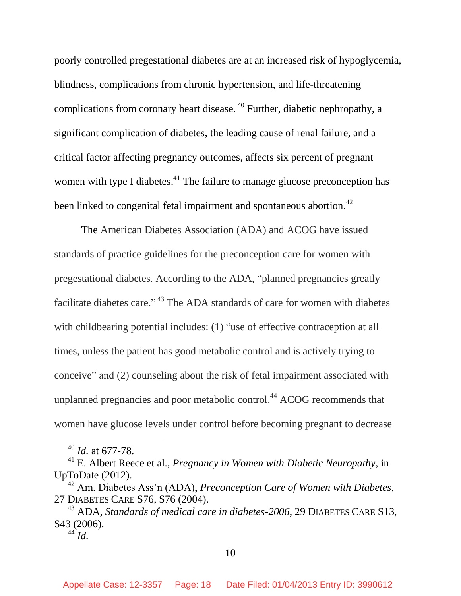poorly controlled pregestational diabetes are at an increased risk of hypoglycemia, blindness, complications from chronic hypertension, and life-threatening complications from coronary heart disease. <sup>40</sup> Further, diabetic nephropathy, a significant complication of diabetes, the leading cause of renal failure, and a critical factor affecting pregnancy outcomes, affects six percent of pregnant women with type I diabetes.<sup>41</sup> The failure to manage glucose preconception has been linked to congenital fetal impairment and spontaneous abortion.<sup>42</sup>

The American Diabetes Association (ADA) and ACOG have issued standards of practice guidelines for the preconception care for women with pregestational diabetes. According to the ADA, "planned pregnancies greatly facilitate diabetes care."<sup>43</sup> The ADA standards of care for women with diabetes with childbearing potential includes: (1) "use of effective contraception at all times, unless the patient has good metabolic control and is actively trying to conceive" and (2) counseling about the risk of fetal impairment associated with unplanned pregnancies and poor metabolic control. <sup>44</sup> ACOG recommends that women have glucose levels under control before becoming pregnant to decrease

<sup>40</sup> *Id.* at 677-78.

<sup>41</sup> E. Albert Reece et al., *Pregnancy in Women with Diabetic Neuropathy*, in UpToDate (2012).

<sup>42</sup> Am. Diabetes Ass'n (ADA), *Preconception Care of Women with Diabetes*, 27 DIABETES CARE S76, S76 (2004).

<sup>43</sup> ADA, *Standards of medical care in diabetes-2006*, 29 DIABETES CARE S13, S43 (2006).

 $^{44}$  *Id.*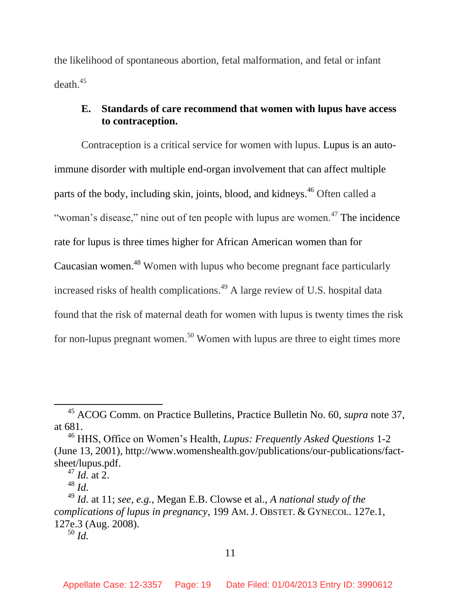the likelihood of spontaneous abortion, fetal malformation, and fetal or infant death.<sup>45</sup>

## <span id="page-18-0"></span>**E. Standards of care recommend that women with lupus have access to contraception.**

Contraception is a critical service for women with lupus. Lupus is an autoimmune disorder with multiple end-organ involvement that can affect multiple parts of the body, including skin, joints, blood, and kidneys.<sup>46</sup> Often called a "woman's disease," nine out of ten people with lupus are women.<sup>47</sup> The incidence rate for lupus is three times higher for African American women than for Caucasian women.<sup>48</sup> Women with lupus who become pregnant face particularly increased risks of health complications. <sup>49</sup> A large review of U.S. hospital data found that the risk of maternal death for women with lupus is twenty times the risk for non-lupus pregnant women.<sup>50</sup> Women with lupus are three to eight times more

<sup>45</sup> ACOG Comm. on Practice Bulletins, Practice Bulletin No. 60, *supra* note 37, at 681.

<sup>46</sup> HHS, Office on Women's Health, *Lupus: Frequently Asked Questions* 1-2 (June 13, 2001), http://www.womenshealth.gov/publications/our-publications/factsheet/lupus.pdf.

 $^{47}$  *Id.* at 2.

<sup>48</sup> *Id.*

<sup>49</sup> *Id.* at 11; *see, e.g.*, Megan E.B. Clowse et al., *A national study of the complications of lupus in pregnancy*, 199 AM. J. OBSTET. & GYNECOL. 127e.1, 127e.3 (Aug. 2008).

<sup>50</sup> *Id.*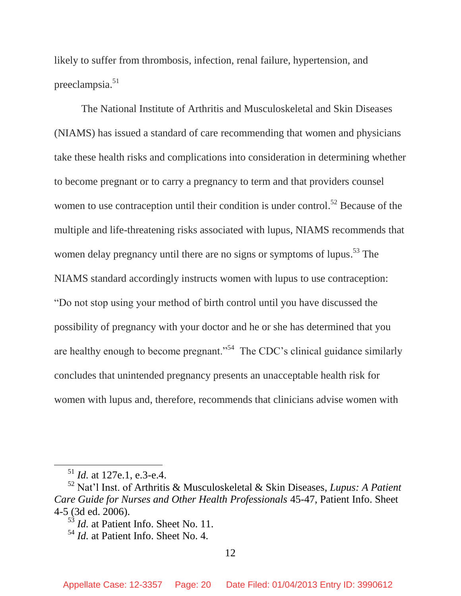likely to suffer from thrombosis, infection, renal failure, hypertension, and preeclampsia.<sup>51</sup>

The National Institute of Arthritis and Musculoskeletal and Skin Diseases (NIAMS) has issued a standard of care recommending that women and physicians take these health risks and complications into consideration in determining whether to become pregnant or to carry a pregnancy to term and that providers counsel women to use contraception until their condition is under control.<sup>52</sup> Because of the multiple and life-threatening risks associated with lupus, NIAMS recommends that women delay pregnancy until there are no signs or symptoms of lupus.<sup>53</sup> The NIAMS standard accordingly instructs women with lupus to use contraception: "Do not stop using your method of birth control until you have discussed the possibility of pregnancy with your doctor and he or she has determined that you are healthy enough to become pregnant."<sup>54</sup> The CDC's clinical guidance similarly concludes that unintended pregnancy presents an unacceptable health risk for women with lupus and, therefore, recommends that clinicians advise women with

<sup>51</sup> *Id.* at 127e.1, e.3-e.4.

<sup>52</sup> Nat'l Inst. of Arthritis & Musculoskeletal & Skin Diseases, *Lupus: A Patient Care Guide for Nurses and Other Health Professionals* 45-47, Patient Info. Sheet 4-5 (3d ed. 2006).

<sup>53</sup> *Id.* at Patient Info. Sheet No. 11.

<sup>54</sup> *Id.* at Patient Info. Sheet No. 4.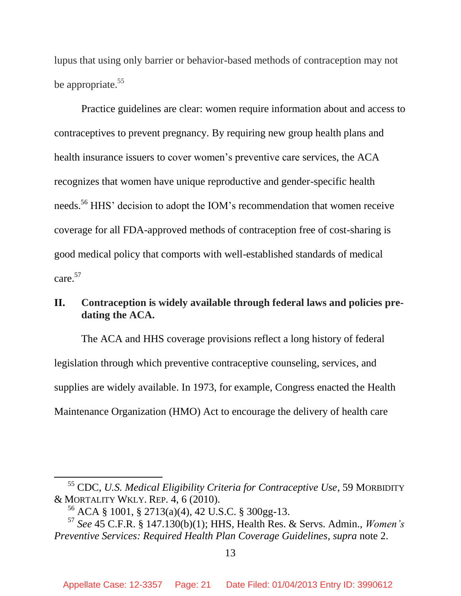lupus that using only barrier or behavior-based methods of contraception may not be appropriate.<sup>55</sup>

Practice guidelines are clear: women require information about and access to contraceptives to prevent pregnancy. By requiring new group health plans and health insurance issuers to cover women's preventive care services, the ACA recognizes that women have unique reproductive and gender-specific health needs.<sup>56</sup> HHS' decision to adopt the IOM's recommendation that women receive coverage for all FDA-approved methods of contraception free of cost-sharing is good medical policy that comports with well-established standards of medical care. 57

# <span id="page-20-0"></span>**II. Contraception is widely available through federal laws and policies predating the ACA.**

The ACA and HHS coverage provisions reflect a long history of federal legislation through which preventive contraceptive counseling, services, and supplies are widely available. In 1973, for example, Congress enacted the Health Maintenance Organization (HMO) Act to encourage the delivery of health care

<sup>55</sup> CDC, *U.S. Medical Eligibility Criteria for Contraceptive Use*, 59 MORBIDITY & MORTALITY WKLY. REP. 4, 6 (2010).

<sup>56</sup> ACA § 1001, § 2713(a)(4), 42 U.S.C. § 300gg-13.

<sup>57</sup> *See* 45 C.F.R. § 147.130(b)(1); HHS, Health Res. & Servs. Admin., *Women's Preventive Services: Required Health Plan Coverage Guidelines*, *supra* note 2.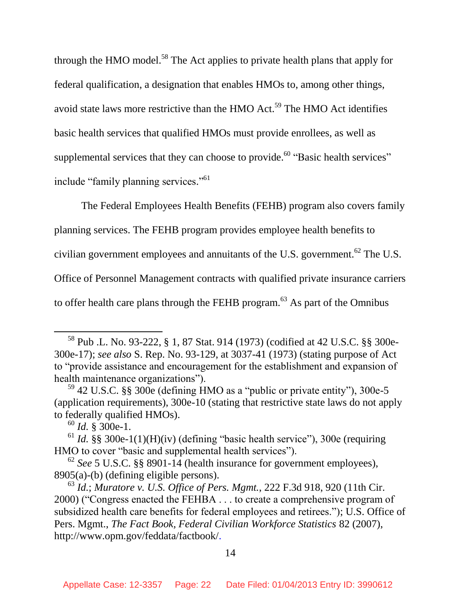through the HMO model.<sup>58</sup> The Act applies to private health plans that apply for federal qualification, a designation that enables HMOs to, among other things, avoid state laws more restrictive than the HMO Act.<sup>59</sup> The HMO Act identifies basic health services that qualified HMOs must provide enrollees, as well as supplemental services that they can choose to provide.<sup>60</sup> "Basic health services" include "family planning services."<sup>61</sup>

The Federal Employees Health Benefits (FEHB) program also covers family planning services. The FEHB program provides employee health benefits to civilian government employees and annuitants of the U.S. government.<sup>62</sup> The U.S. Office of Personnel Management contracts with qualified private insurance carriers to offer health care plans through the FEHB program.<sup>63</sup> As part of the Omnibus

l

14

<sup>58</sup> Pub .L. No. 93-222, § 1, 87 Stat. 914 (1973) (codified at 42 U.S.C. §§ 300e-300e-17); *see also* S. Rep. No. 93-129, at 3037-41 (1973) (stating purpose of Act to "provide assistance and encouragement for the establishment and expansion of health maintenance organizations").

 $59$  42 U.S.C. §§ 300e (defining HMO as a "public or private entity"), 300e-5 (application requirements), 300e-10 (stating that restrictive state laws do not apply to federally qualified HMOs).

<sup>60</sup> *Id.* § 300e-1.

 $61$  *Id.* §§ 300e-1(1)(H)(iv) (defining "basic health service"), 300e (requiring HMO to cover "basic and supplemental health services").

<sup>62</sup> *See* 5 U.S.C. §§ 8901-14 (health insurance for government employees), 8905(a)-(b) (defining eligible persons).

<sup>63</sup> *Id.*; *[Muratore v. U.S. Office of Pers. Mgmt.](http://web2.westlaw.com/find/default.wl?mt=Westlaw&db=506&tc=-1&rp=%2ffind%2fdefault.wl&findtype=Y&ordoc=2009556413&serialnum=2000478596&vr=2.0&fn=_top&sv=Split&tf=-1&referencepositiontype=S&pbc=2ACD3E6B&referenceposition=920&rs=WLW12.10)*, 222 F.3d 918, 920 (11th Cir. 2000) [\("Congress enacted the FEHBA . . . to create a comprehensive program of](http://web2.westlaw.com/find/default.wl?mt=Westlaw&db=506&tc=-1&rp=%2ffind%2fdefault.wl&findtype=Y&ordoc=2009556413&serialnum=2000478596&vr=2.0&fn=_top&sv=Split&tf=-1&referencepositiontype=S&pbc=2ACD3E6B&referenceposition=920&rs=WLW12.10)  [subsidized health care benefits for federal employees and retirees."\);](http://web2.westlaw.com/find/default.wl?mt=Westlaw&db=506&tc=-1&rp=%2ffind%2fdefault.wl&findtype=Y&ordoc=2009556413&serialnum=2000478596&vr=2.0&fn=_top&sv=Split&tf=-1&referencepositiontype=S&pbc=2ACD3E6B&referenceposition=920&rs=WLW12.10) U.S. Office of Pers. Mgmt., *The Fact Book, Federal Civilian Workforce Statistics* 82 (2007), http://www.opm.gov/feddata/factbook/.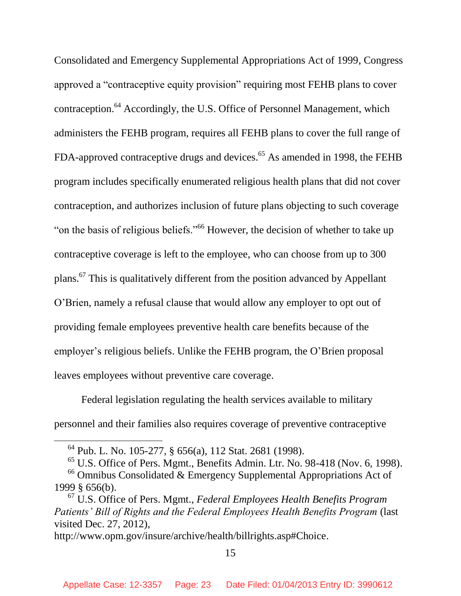Consolidated and Emergency Supplemental Appropriations Act of 1999, Congress approved a "contraceptive equity provision" requiring most FEHB plans to cover contraception.<sup>64</sup> Accordingly, the U.S. Office of Personnel Management, which administers the FEHB program, requires all FEHB plans to cover the full range of FDA-approved contraceptive drugs and devices.<sup>65</sup> As amended in 1998, the FEHB program includes specifically enumerated religious health plans that did not cover contraception, and authorizes inclusion of future plans objecting to such coverage "on the basis of religious beliefs."<sup>66</sup> However, the decision of whether to take up contraceptive coverage is left to the employee, who can choose from up to 300 plans.<sup>67</sup> This is qualitatively different from the position advanced by Appellant O'Brien, namely a refusal clause that would allow any employer to opt out of providing female employees preventive health care benefits because of the employer's religious beliefs. Unlike the FEHB program, the O'Brien proposal leaves employees without preventive care coverage.

Federal legislation regulating the health services available to military personnel and their families also requires coverage of preventive contraceptive

 $\overline{\phantom{a}}$ 

 $65$  U.S. Office of Pers. Mgmt., Benefits Admin. Ltr. No. 98-418 (Nov. 6, 1998).  $66$  Omnibus Consolidated & Emergency Supplemental Appropriations Act of 1999 § 656(b).

15

<sup>64</sup> Pub. L. No. 105-277, § 656(a), 112 Stat. 2681 (1998).

<sup>67</sup> U.S. Office of Pers. Mgmt., *Federal Employees Health Benefits Program Patients' Bill of Rights and the Federal Employees Health Benefits Program* (last visited Dec. 27, 2012),

http://www.opm.gov/insure/archive/health/billrights.asp#Choice.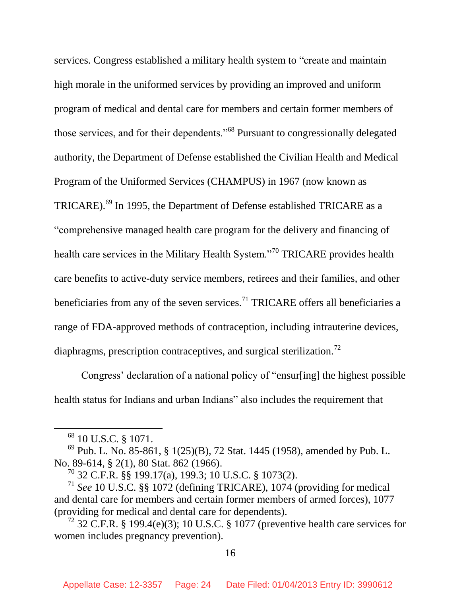services. Congress established a military health system to "create and maintain high morale in the uniformed services by providing an improved and uniform program of medical and dental care for members and certain former members of those services, and for their dependents."<sup>68</sup> Pursuant to congressionally delegated authority, the Department of Defense established the Civilian Health and Medical Program of the Uniformed Services (CHAMPUS) in 1967 (now known as TRICARE).<sup>69</sup> In 1995, the Department of Defense established TRICARE as a "comprehensive managed health care program for the delivery and financing of health care services in the Military Health System."<sup>70</sup> TRICARE provides health care benefits to active-duty service members, retirees and their families, and other beneficiaries from any of the seven services.<sup>71</sup> TRICARE offers all beneficiaries a range of FDA-approved methods of contraception, including intrauterine devices, diaphragms, prescription contraceptives, and surgical sterilization.<sup>72</sup>

Congress' declaration of a national policy of "ensur[ing] the highest possible health status for Indians and urban Indians" also includes the requirement that

<sup>&</sup>lt;sup>68</sup> 10 U.S.C. § 1071.

<sup>69</sup> Pub. L. No. 85-861, § 1(25)(B), 72 Stat. 1445 (1958), amended by Pub. L. No. 89-614, § 2(1), 80 Stat. 862 (1966).

<sup>70</sup> 32 C.F.R. §§ 199.17(a), 199.3; 10 U.S.C. § 1073(2).

<sup>71</sup> *See* 10 U.S.C. §§ 1072 (defining TRICARE), 1074 (providing for medical and dental care for members and certain former members of armed forces), 1077 (providing for medical and dental care for dependents).

<sup>&</sup>lt;sup>72</sup> 32 C.F.R. § 199.4(e)(3); 10 U.S.C. § 1077 (preventive health care services for women includes pregnancy prevention).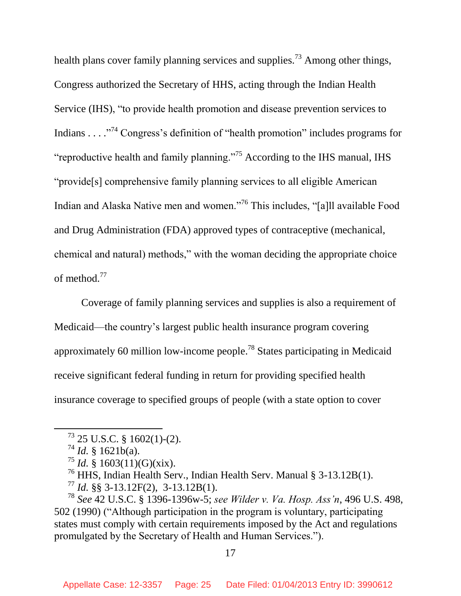health plans cover family planning services and supplies.<sup>73</sup> Among other things, Congress authorized the Secretary of HHS, acting through the Indian Health Service (IHS), "to provide health promotion and disease prevention services to Indians . . . .  $\cdot$ <sup>74</sup> Congress's definition of "health promotion" includes programs for "reproductive health and family planning."<sup>75</sup> According to the IHS manual, IHS "provide[s] comprehensive family planning services to all eligible American Indian and Alaska Native men and women."<sup>76</sup> This includes, "[a]ll available Food and Drug Administration (FDA) approved types of contraceptive (mechanical, chemical and natural) methods," with the woman deciding the appropriate choice of method.<sup>77</sup>

Coverage of family planning services and supplies is also a requirement of Medicaid—the country's largest public health insurance program covering approximately 60 million low-income people.<sup>78</sup> States participating in Medicaid receive significant federal funding in return for providing specified health insurance coverage to specified groups of people (with a state option to cover

 $\overline{\phantom{a}}$ 

17

 $73$  25 U.S.C. § 1602(1)-(2).

 $^{74}$  *Id.* § 1621b(a).

 $^{75}$  *Id.* § 1603(11)(G)(xix).

<sup>76</sup> HHS, Indian Health Serv., Indian Health Serv. Manual § 3-13.12B(1).

<sup>77</sup> *Id.* §§ 3-13.12F(2), 3-13.12B(1).

<sup>78</sup> *See* 42 U.S.C. § 1396-1396w-5; *see Wilder v. Va. Hosp. Ass'n*, 496 U.S. 498, 502 (1990) ("Although participation in the program is voluntary, participating states must comply with certain requirements imposed by the Act and regulations promulgated by the Secretary of Health and Human Services.").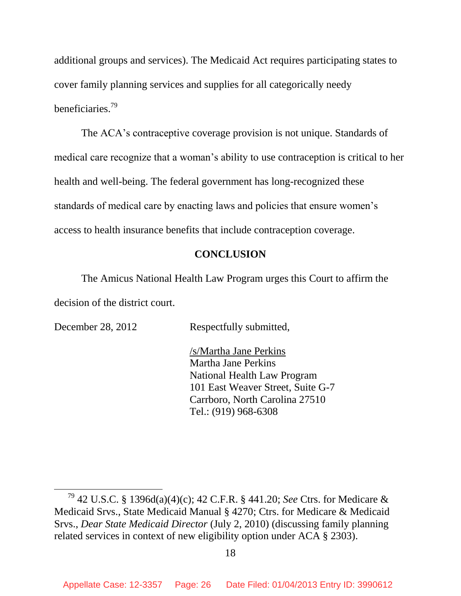additional groups and services). The Medicaid Act requires participating states to cover family planning services and supplies for all categorically needy beneficiaries.<sup>79</sup>

The ACA's contraceptive coverage provision is not unique. Standards of medical care recognize that a woman's ability to use contraception is critical to her health and well-being. The federal government has long-recognized these standards of medical care by enacting laws and policies that ensure women's access to health insurance benefits that include contraception coverage.

## **CONCLUSION**

<span id="page-25-0"></span>The Amicus National Health Law Program urges this Court to affirm the decision of the district court.

 $\overline{\phantom{a}}$ 

December 28, 2012 Respectfully submitted,

/s/Martha Jane Perkins Martha Jane Perkins National Health Law Program 101 East Weaver Street, Suite G-7 Carrboro, North Carolina 27510 Tel.: (919) 968-6308

<sup>79</sup> 42 U.S.C. § 1396d(a)(4)(c); 42 C.F.R. § 441.20; *See* Ctrs. for Medicare & Medicaid Srvs., State Medicaid Manual § 4270; Ctrs. for Medicare & Medicaid Srvs., *Dear State Medicaid Director* (July 2, 2010) (discussing family planning related services in context of new eligibility option under ACA § 2303).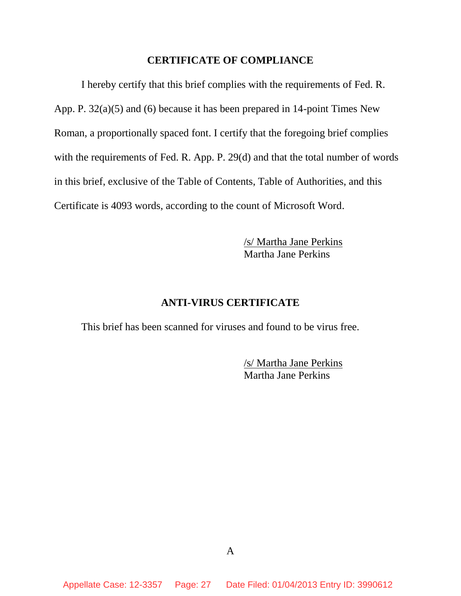#### **CERTIFICATE OF COMPLIANCE**

I hereby certify that this brief complies with the requirements of Fed. R. App. P. 32(a)(5) and (6) because it has been prepared in 14-point Times New Roman, a proportionally spaced font. I certify that the foregoing brief complies with the requirements of Fed. R. App. P. 29(d) and that the total number of words in this brief, exclusive of the Table of Contents, Table of Authorities, and this Certificate is 4093 words, according to the count of Microsoft Word.

> /s/ Martha Jane Perkins Martha Jane Perkins

## **ANTI-VIRUS CERTIFICATE**

This brief has been scanned for viruses and found to be virus free.

/s/ Martha Jane Perkins Martha Jane Perkins